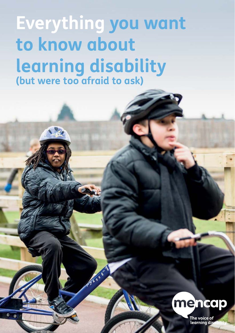**Everything you want to know about learning disability (but were too afraid to ask)**

Arian C



The voice of<br>learning dis 1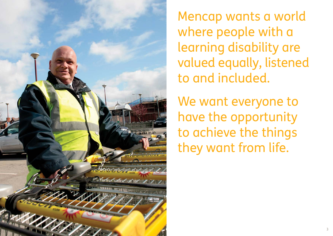

Mencap wants a world where people with a learning disability are valued equally, listened to and included.

We want everyone to have the opportunity to achieve the things they want from life.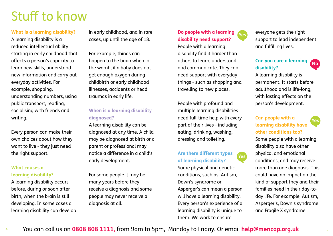# Stuff to know

#### **What is a learning disability?**

A learning disability is a reduced intellectual ability starting in early childhood that affects a person's capacity to learn new skills, understand new information and carry out everyday activities. For example, shopping, understanding numbers, using public transport, reading, socialising with friends and writing.

Every person can make their own choices about how they want to live - they just need the right support.

#### **What causes a learning disability?**

A learning disability occurs before, during or soon after birth, when the brain is still developing. In some cases a learning disability can develop in early childhood, and in rare cases, up until the age of 18.

For example, things can happen to the brain when in the womb, if a baby does not get enough oxygen during childbirth or early childhood illnesses, accidents or head traumas in early life.

### **When is a learning disability diagnosed?**

A learning disability can be diagnosed at any time. A child may be diagnosed at birth or a parent or professional may notice a difference in a child's early development.

For some people it may be many years before they receive a diagnosis and some people may never receive a diagnosis at all.

#### **Do people with a learning disability need support? Yes**

People with a learning disability find it harder than others to learn, understand and communicate. They can need support with everyday things - such as shopping and travelling to new places.

People with profound and multiple learning disabilities need full-time help with every part of their lives - including eating, drinking, washing, dressing and toileting.

#### **Are there different types of learning disability? Yes**

Some physical and genetic conditions, such as, Autism, Down's syndrome or Asperger's can mean a person will have a learning disability. Every person's experience of a learning disability is unique to them. We work to ensure

everyone gets the right support to lead independent and fulfilling lives.

### **Can you cure a learning disability?**

A learning disability is permanent. It starts before adulthood and is life-long, with lasting effects on the person's development.

### **Can people with a learning disability have other conditions too?**

Some people with a learning disability also have other physical and emotional conditions, and may receive more than one diagnosis. This could have an impact on the kind of support they and their families need in their day-today life. For example; Autism, Asperger's, Down's syndrome and Fragile X syndrome.

**Yes**

**No**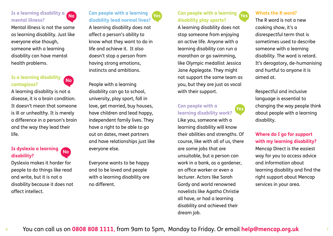

Mental illness is not the same as learning disability. Just like everyone else though, someone with a learning disability can have mental health problems.

#### **Is a learning disability contagious?**

A learning disability is not a disease, it is a brain condition. It doesn't mean that someone is ill or unhealthy. It is merely a difference in a person's brain and the way they lead their life.

**No**

#### **Is dyslexia a learning disability? No**

Dyslexia makes it harder for people to do things like read and write, but it is not a disability because it does not affect intellect.



**Can people with a learning disability lead normal lives?**

A learning disability does not affect a person's ability to know what they want to do in life and achieve it. It also doesn't stop a person from having strong emotions, instincts and ambitions.

People with a learning disability can go to school, university, play sport, fall in love, get married, buy houses, have children and lead happy, independent family lives. They have a right to be able to go out on dates, meet partners and have relationships just like everyone else.

Everyone wants to be happy and to be loved and people with a learning disability are no different.

#### **Can people with a learning No Yes Yes disability play sports?**

A learning disability does not stop someone from enjoying an active life. Anyone with a learning disability can run a marathon or go swimming, like Olympic medallist Jessica Jane Applegate. They might not support the same team as you, but they are just as vocal with their support.

#### **Can people with a learning disability work?**

**Yes**

Like you, someone with a learning disability will know their abilities and strengths. Of course, like with all of us, there are some jobs that are unsuitable, but a person can work in a bank, as a gardener, an office worker or even a lecturer. Actors like Sarah Gordy and world renowned novelists like Agatha Christie all have, or had a learning disability and achieved their dream job.

#### **Whats the R word?**

The R word is not a new cooking show, it's a disrespectful term that is sometimes used to describe someone with a learning disability. The word is retard. It's derogatory, de-humanising and hurtful to anyone it is aimed at.

Respectful and inclusive language is essential to changing the way people think about people with a learning disability.

#### **Where do I go for support with my learning disability?**

Mencap Direct is the easiest way for you to access advice and information about learning disability and find the right support about Mencap services in your area.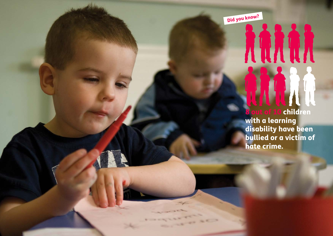Did you know?

and the second control of the second control of the second control of the second control of the second control of the second control of the second control of the second control of the second control of the second control o

Seso

### children with a learning disability have been bullied or a victim of hate crime.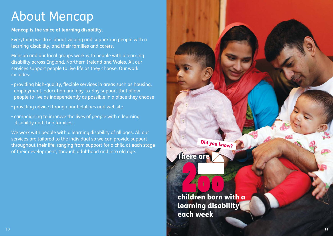# About Mencap

#### **Mencap is the voice of learning disability.**

Everything we do is about valuing and supporting people with a learning disability, and their families and carers.

Mencap and our local groups work with people with a learning disability across England, Northern Ireland and Wales. All our services support people to live life as they choose. Our work includes:

- providing high-quality, flexible services in areas such as housing, employment, education and day-to-day support that allow people to live as independently as possible in a place they choose
- providing advice through our helplines and website
- campaigning to improve the lives of people with a learning disability and their families.

We work with people with a learning disability of all ages. All our services are tailored to the individual so we can provide support throughout their life, ranging from support for a child at each stage of their development, through adulthood and into old age.

**There ar** Did you know?

children born with a learning disability each week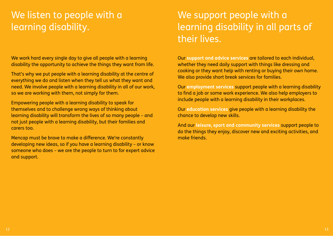## We listen to people with a learning disability.

We work hard every single day to give all people with a learning disability the opportunity to achieve the things they want from life.

That's why we put people with a learning disability at the centre of everything we do and listen when they tell us what they want and need. We involve people with a learning disability in all of our work, so we are working with them, not simply for them.

Empowering people with a learning disability to speak for themselves and to challenge wrong ways of thinking about learning disability will transform the lives of so many people – and not just people with a learning disability, but their families and carers too.

Mencap must be brave to make a difference. We're constantly developing new ideas, so if you have a learning disability – or know someone who does – we are the people to turn to for expert advice and support.

## We support people with a learning disability in all parts of their lives.

Our **support and advice services** are tailored to each individual, whether they need daily support with things like dressing and cooking or they want help with renting or buying their own home. We also provide short break services for families.

Our **employment services** support people with a learning disability to find a job or some work experience. We also help employers to include people with a learning disability in their workplaces.

Our **education services** give people with a learning disability the chance to develop new skills.

And our **leisure, sport and community services** support people to do the things they enjoy, discover new and exciting activities, and make friends.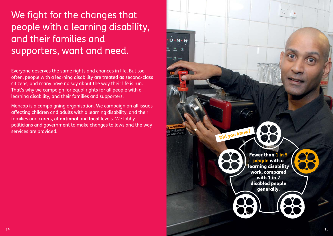## We fight for the changes that people with a learning disability, and their families and supporters, want and need.

Everyone deserves the same rights and chances in life. But too often, people with a learning disability are treated as second-class citizens, and many have no say about the way their life is run. That's why we campaign for equal rights for all people with a learning disability, and their families and supporters.

Mencap is a campaigning organisation. We campaign on all issues affecting children and adults with a learning disability, and their families and carers, at **national** and **local** levels. We lobby politicians and government to make changes to laws and the way services are provided.